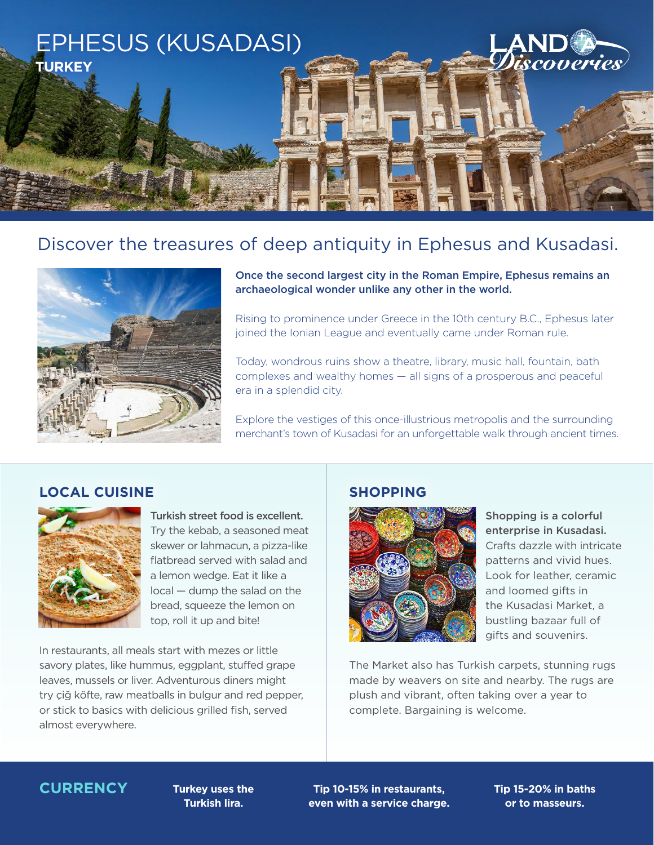

# Discover the treasures of deep antiquity in Ephesus and Kusadasi.



Once the second largest city in the Roman Empire, Ephesus remains an archaeological wonder unlike any other in the world.

Rising to prominence under Greece in the 10th century B.C., Ephesus later joined the Ionian League and eventually came under Roman rule.

Today, wondrous ruins show a theatre, library, music hall, fountain, bath complexes and wealthy homes — all signs of a prosperous and peaceful era in a splendid city.

Explore the vestiges of this once-illustrious metropolis and the surrounding merchant's town of Kusadasi for an unforgettable walk through ancient times.

## **LOCAL CUISINE SHOPPING**



Turkish street food is excellent. Try the kebab, a seasoned meat skewer or lahmacun, a pizza-like flatbread served with salad and a lemon wedge. Eat it like a local — dump the salad on the bread, squeeze the lemon on top, roll it up and bite!

In restaurants, all meals start with mezes or little savory plates, like hummus, eggplant, stuffed grape leaves, mussels or liver. Adventurous diners might try çiğ köfte, raw meatballs in bulgur and red pepper, or stick to basics with delicious grilled fish, served almost everywhere.



Shopping is a colorful enterprise in Kusadasi. Crafts dazzle with intricate patterns and vivid hues. Look for leather, ceramic and loomed gifts in the Kusadasi Market, a bustling bazaar full of gifts and souvenirs.

The Market also has Turkish carpets, stunning rugs made by weavers on site and nearby. The rugs are plush and vibrant, often taking over a year to complete. Bargaining is welcome.

## **CURRENCY Turkey uses the**

**Turkish lira.**

**Tip 10-15% in restaurants, even with a service charge.** **Tip 15-20% in baths or to masseurs.**